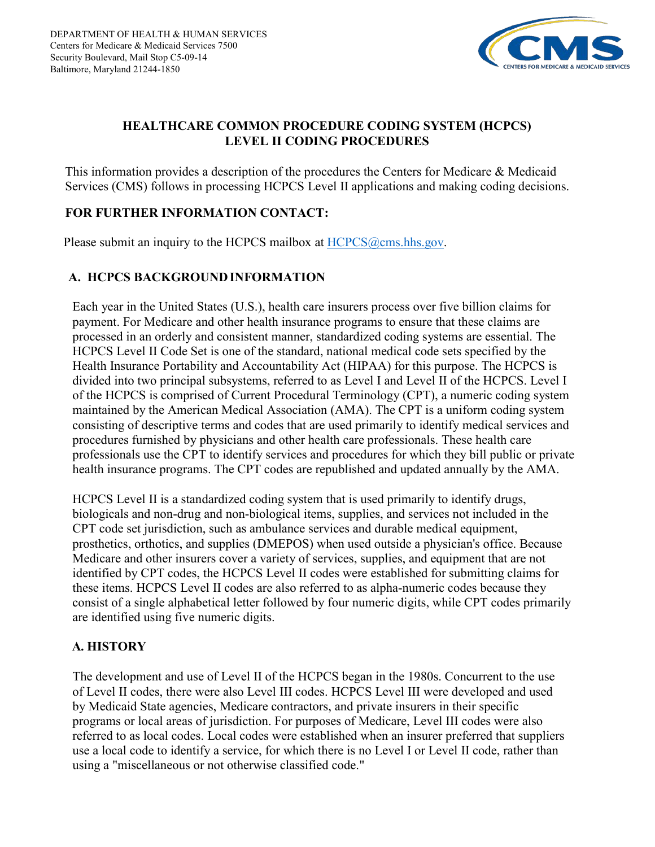

## **HEALTHCARE COMMON PROCEDURE CODING SYSTEM (HCPCS) LEVEL II CODING PROCEDURES**

This information provides a description of the procedures the Centers for Medicare & Medicaid Services (CMS) follows in processing HCPCS Level II applications and making coding decisions.

## **FOR FURTHER INFORMATION CONTACT:**

Please submit an inquiry to the HCPCS mailbox at [HCPCS@cms.hhs.gov.](mailto:HCPCS@cms.hhs.gov)

## **A. HCPCS BACKGROUNDINFORMATION**

Each year in the United States (U.S.), health care insurers process over five billion claims for payment. For Medicare and other health insurance programs to ensure that these claims are processed in an orderly and consistent manner, standardized coding systems are essential. The HCPCS Level II Code Set is one of the standard, national medical code sets specified by the Health Insurance Portability and Accountability Act (HIPAA) for this purpose. The HCPCS is divided into two principal subsystems, referred to as Level I and Level II of the HCPCS. Level I of the HCPCS is comprised of Current Procedural Terminology (CPT), a numeric coding system maintained by the American Medical Association (AMA). The CPT is a uniform coding system consisting of descriptive terms and codes that are used primarily to identify medical services and procedures furnished by physicians and other health care professionals. These health care professionals use the CPT to identify services and procedures for which they bill public or private health insurance programs. The CPT codes are republished and updated annually by the AMA.

HCPCS Level II is a standardized coding system that is used primarily to identify drugs, biologicals and non-drug and non-biological items, supplies, and services not included in the CPT code set jurisdiction, such as ambulance services and durable medical equipment, prosthetics, orthotics, and supplies (DMEPOS) when used outside a physician's office. Because Medicare and other insurers cover a variety of services, supplies, and equipment that are not identified by CPT codes, the HCPCS Level II codes were established for submitting claims for these items. HCPCS Level II codes are also referred to as alpha-numeric codes because they consist of a single alphabetical letter followed by four numeric digits, while CPT codes primarily are identified using five numeric digits.

## **A. HISTORY**

The development and use of Level II of the HCPCS began in the 1980s. Concurrent to the use of Level II codes, there were also Level III codes. HCPCS Level III were developed and used by Medicaid State agencies, Medicare contractors, and private insurers in their specific programs or local areas of jurisdiction. For purposes of Medicare, Level III codes were also referred to as local codes. Local codes were established when an insurer preferred that suppliers use a local code to identify a service, for which there is no Level I or Level II code, rather than using a "miscellaneous or not otherwise classified code."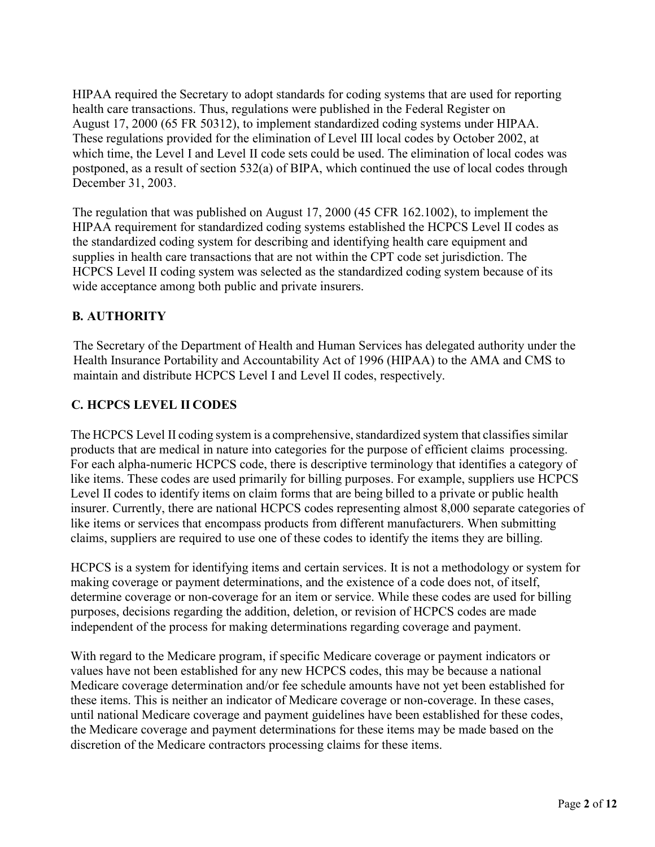HIPAA required the Secretary to adopt standards for coding systems that are used for reporting health care transactions. Thus, regulations were published in the Federal Register on August 17, 2000 (65 FR 50312), to implement standardized coding systems under HIPAA. These regulations provided for the elimination of Level III local codes by October 2002, at which time, the Level I and Level II code sets could be used. The elimination of local codes was postponed, as a result of section 532(a) of BIPA, which continued the use of local codes through December 31, 2003.

The regulation that was published on August 17, 2000 (45 CFR 162.1002), to implement the HIPAA requirement for standardized coding systems established the HCPCS Level II codes as the standardized coding system for describing and identifying health care equipment and supplies in health care transactions that are not within the CPT code set jurisdiction. The HCPCS Level II coding system was selected as the standardized coding system because of its wide acceptance among both public and private insurers.

# **B. AUTHORITY**

The Secretary of the Department of Health and Human Services has delegated authority under the Health Insurance Portability and Accountability Act of 1996 (HIPAA) to the AMA and CMS to maintain and distribute HCPCS Level I and Level II codes, respectively.

## **C. HCPCS LEVEL II CODES**

The HCPCS Level II coding system is a comprehensive, standardized system that classifies similar products that are medical in nature into categories for the purpose of efficient claims processing. For each alpha-numeric HCPCS code, there is descriptive terminology that identifies a category of like items. These codes are used primarily for billing purposes. For example, suppliers use HCPCS Level II codes to identify items on claim forms that are being billed to a private or public health insurer. Currently, there are national HCPCS codes representing almost 8,000 separate categories of like items or services that encompass products from different manufacturers. When submitting claims, suppliers are required to use one of these codes to identify the items they are billing.

HCPCS is a system for identifying items and certain services. It is not a methodology or system for making coverage or payment determinations, and the existence of a code does not, of itself, determine coverage or non-coverage for an item or service. While these codes are used for billing purposes, decisions regarding the addition, deletion, or revision of HCPCS codes are made independent of the process for making determinations regarding coverage and payment.

With regard to the Medicare program, if specific Medicare coverage or payment indicators or values have not been established for any new HCPCS codes, this may be because a national Medicare coverage determination and/or fee schedule amounts have not yet been established for these items. This is neither an indicator of Medicare coverage or non-coverage. In these cases, until national Medicare coverage and payment guidelines have been established for these codes, the Medicare coverage and payment determinations for these items may be made based on the discretion of the Medicare contractors processing claims for these items.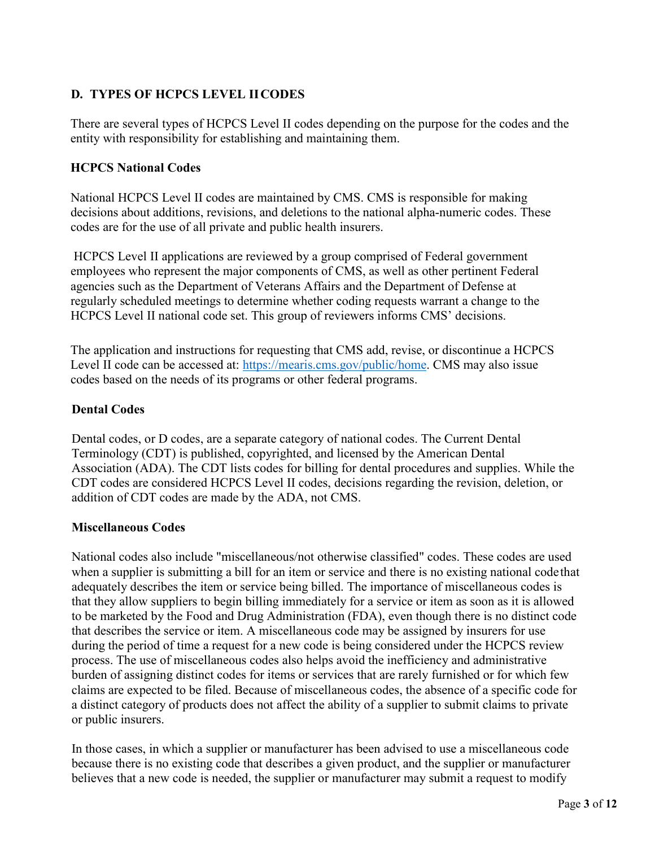# **D. TYPES OF HCPCS LEVEL IICODES**

There are several types of HCPCS Level II codes depending on the purpose for the codes and the entity with responsibility for establishing and maintaining them.

#### **HCPCS National Codes**

National HCPCS Level II codes are maintained by CMS. CMS is responsible for making decisions about additions, revisions, and deletions to the national alpha-numeric codes. These codes are for the use of all private and public health insurers.

HCPCS Level II applications are reviewed by a group comprised of Federal government employees who represent the major components of CMS, as well as other pertinent Federal agencies such as the Department of Veterans Affairs and the Department of Defense at regularly scheduled meetings to determine whether coding requests warrant a change to the HCPCS Level II national code set. This group of reviewers informs CMS' decisions.

The application and instructions for requesting that CMS add, revise, or discontinue a HCPCS Level II code can be accessed at: [https://mearis.cms.gov/public/home.](https://mearis.cms.gov/public/home) CMS may also issue codes based on the needs of its programs or other federal programs.

### **Dental Codes**

Dental codes, or D codes, are a separate category of national codes. The Current Dental Terminology (CDT) is published, copyrighted, and licensed by the American Dental Association (ADA). The CDT lists codes for billing for dental procedures and supplies. While the CDT codes are considered HCPCS Level II codes, decisions regarding the revision, deletion, or addition of CDT codes are made by the ADA, not CMS.

#### **Miscellaneous Codes**

National codes also include "miscellaneous/not otherwise classified" codes. These codes are used when a supplier is submitting a bill for an item or service and there is no existing national codethat adequately describes the item or service being billed. The importance of miscellaneous codes is that they allow suppliers to begin billing immediately for a service or item as soon as it is allowed to be marketed by the Food and Drug Administration (FDA), even though there is no distinct code that describes the service or item. A miscellaneous code may be assigned by insurers for use during the period of time a request for a new code is being considered under the HCPCS review process. The use of miscellaneous codes also helps avoid the inefficiency and administrative burden of assigning distinct codes for items or services that are rarely furnished or for which few claims are expected to be filed. Because of miscellaneous codes, the absence of a specific code for a distinct category of products does not affect the ability of a supplier to submit claims to private or public insurers.

In those cases, in which a supplier or manufacturer has been advised to use a miscellaneous code because there is no existing code that describes a given product, and the supplier or manufacturer believes that a new code is needed, the supplier or manufacturer may submit a request to modify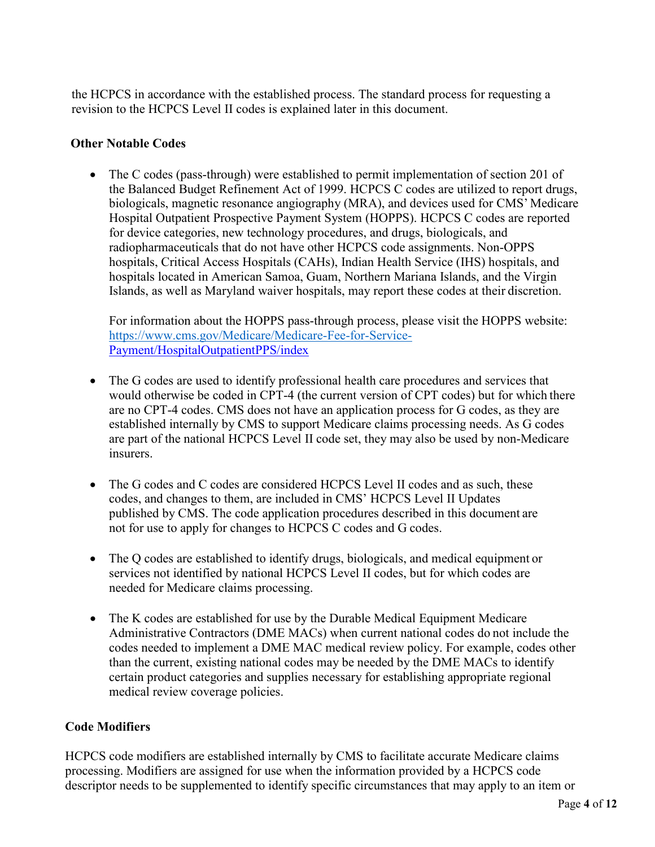the HCPCS in accordance with the established process. The standard process for requesting a revision to the HCPCS Level II codes is explained later in this document.

### **Other Notable Codes**

• The C codes (pass-through) were established to permit implementation of section 201 of the Balanced Budget Refinement Act of 1999. HCPCS C codes are utilized to report drugs, biologicals, magnetic resonance angiography (MRA), and devices used for CMS' Medicare Hospital Outpatient Prospective Payment System (HOPPS). HCPCS C codes are reported for device categories, new technology procedures, and drugs, biologicals, and radiopharmaceuticals that do not have other HCPCS code assignments. Non-OPPS hospitals, Critical Access Hospitals (CAHs), Indian Health Service (IHS) hospitals, and hospitals located in American Samoa, Guam, Northern Mariana Islands, and the Virgin Islands, as well as Maryland waiver hospitals, may report these codes at their discretion.

For information about the HOPPS pass-through process, please visit the HOPPS website: <https://www.cms.gov/Medicare/Medicare-Fee-for-Service->[Payment/HospitalOutpatientPPS/index](https://www.cms.gov/Medicare/Medicare-Fee-for-Service-Payment/HospitalOutpatientPPS/index)

- The G codes are used to identify professional health care procedures and services that would otherwise be coded in CPT-4 (the current version of CPT codes) but for which there are no CPT-4 codes. CMS does not have an application process for G codes, as they are established internally by CMS to support Medicare claims processing needs. As G codes are part of the national HCPCS Level II code set, they may also be used by non-Medicare insurers.
- The G codes and C codes are considered HCPCS Level II codes and as such, these codes, and changes to them, are included in CMS' HCPCS Level II Updates published by CMS. The code application procedures described in this document are not for use to apply for changes to HCPCS C codes and G codes.
- The Q codes are established to identify drugs, biologicals, and medical equipment or services not identified by national HCPCS Level II codes, but for which codes are needed for Medicare claims processing.
- The K codes are established for use by the Durable Medical Equipment Medicare Administrative Contractors (DME MACs) when current national codes do not include the codes needed to implement a DME MAC medical review policy. For example, codes other than the current, existing national codes may be needed by the DME MACs to identify certain product categories and supplies necessary for establishing appropriate regional medical review coverage policies.

## **Code Modifiers**

HCPCS code modifiers are established internally by CMS to facilitate accurate Medicare claims processing. Modifiers are assigned for use when the information provided by a HCPCS code descriptor needs to be supplemented to identify specific circumstances that may apply to an item or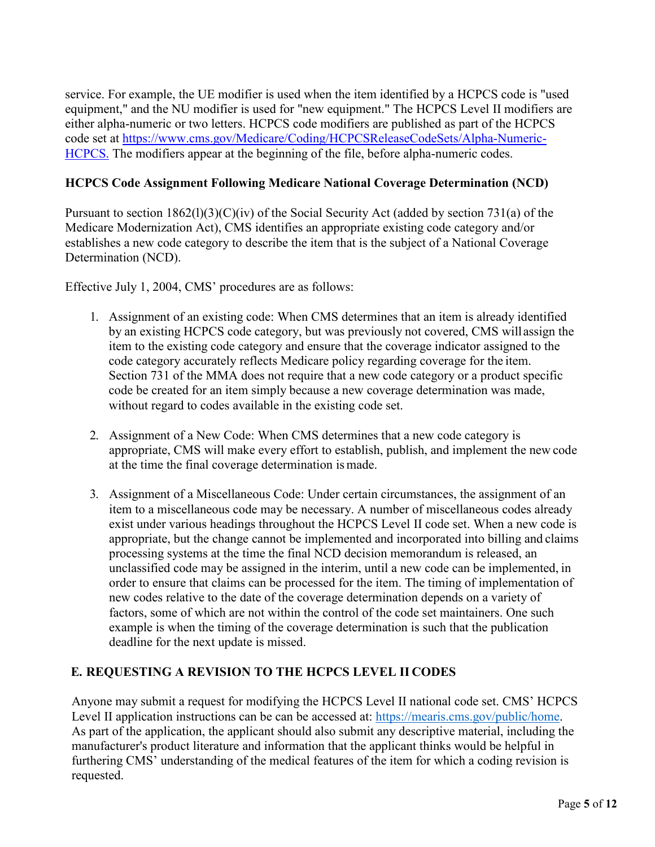service. For example, the UE modifier is used when the item identified by a HCPCS code is "used equipment," and the NU modifier is used for "new equipment." The HCPCS Level II modifiers are either alpha-numeric or two letters. HCPCS code modifiers are published as part of the HCPCS code set at [https://www.cms.gov/Medicare/Coding/HCPCSReleaseCodeSets/Alpha-Numeric-](https://www.cms.gov/Medicare/Coding/HCPCSReleaseCodeSets/Alpha-Numeric-HCPCS)[HCPCS.](https://www.cms.gov/Medicare/Coding/HCPCSReleaseCodeSets/Alpha-Numeric-HCPCS) The modifiers appear at the beginning of the file, before alpha-numeric codes.

#### **HCPCS Code Assignment Following Medicare National Coverage Determination (NCD)**

Pursuant to section 1862(l)(3)(C)(iv) of the Social Security Act (added by section 731(a) of the Medicare Modernization Act), CMS identifies an appropriate existing code category and/or establishes a new code category to describe the item that is the subject of a National Coverage Determination (NCD).

Effective July 1, 2004, CMS' procedures are as follows:

- 1. Assignment of an existing code: When CMS determines that an item is already identified by an existing HCPCS code category, but was previously not covered, CMS willassign the item to the existing code category and ensure that the coverage indicator assigned to the code category accurately reflects Medicare policy regarding coverage for the item. Section 731 of the MMA does not require that a new code category or a product specific code be created for an item simply because a new coverage determination was made, without regard to codes available in the existing code set.
- 2. Assignment of a New Code: When CMS determines that a new code category is appropriate, CMS will make every effort to establish, publish, and implement the new code at the time the final coverage determination ismade.
- 3. Assignment of a Miscellaneous Code: Under certain circumstances, the assignment of an item to a miscellaneous code may be necessary. A number of miscellaneous codes already exist under various headings throughout the HCPCS Level II code set. When a new code is appropriate, but the change cannot be implemented and incorporated into billing and claims processing systems at the time the final NCD decision memorandum is released, an unclassified code may be assigned in the interim, until a new code can be implemented, in order to ensure that claims can be processed for the item. The timing of implementation of new codes relative to the date of the coverage determination depends on a variety of factors, some of which are not within the control of the code set maintainers. One such example is when the timing of the coverage determination is such that the publication deadline for the next update is missed.

## **E. REQUESTING A REVISION TO THE HCPCS LEVEL II CODES**

Anyone may submit a request for modifying the HCPCS Level II national code set. CMS' HCPCS Level II application instructions can be can be accessed at: [https://mearis.cms.gov/public/home.](https://mearis.cms.gov/public/home) As part of the application, the applicant should also submit any descriptive material, including the manufacturer's product literature and information that the applicant thinks would be helpful in furthering CMS' understanding of the medical features of the item for which a coding revision is requested.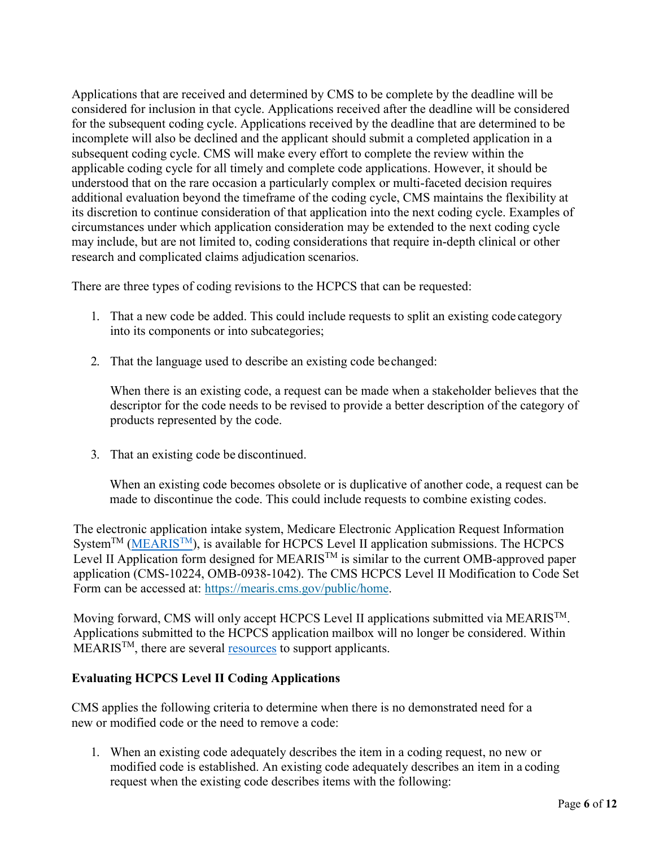Applications that are received and determined by CMS to be complete by the deadline will be considered for inclusion in that cycle. Applications received after the deadline will be considered for the subsequent coding cycle. Applications received by the deadline that are determined to be incomplete will also be declined and the applicant should submit a completed application in a subsequent coding cycle. CMS will make every effort to complete the review within the applicable coding cycle for all timely and complete code applications. However, it should be understood that on the rare occasion a particularly complex or multi-faceted decision requires additional evaluation beyond the timeframe of the coding cycle, CMS maintains the flexibility at its discretion to continue consideration of that application into the next coding cycle. Examples of circumstances under which application consideration may be extended to the next coding cycle may include, but are not limited to, coding considerations that require in-depth clinical or other research and complicated claims adjudication scenarios.

There are three types of coding revisions to the HCPCS that can be requested:

- 1. That a new code be added. This could include requests to split an existing code category into its components or into subcategories;
- 2. That the language used to describe an existing code bechanged:

When there is an existing code, a request can be made when a stakeholder believes that the descriptor for the code needs to be revised to provide a better description of the category of products represented by the code.

3. That an existing code be discontinued.

When an existing code becomes obsolete or is duplicative of another code, a request can be made to discontinue the code. This could include requests to combine existing codes.

The electronic application intake system, Medicare Electronic Application Request Information System<sup>TM</sup> ( $MEARS^{TM}$ ), is available for HCPCS Level II application submissions. The HCPCS Level II Application form designed for MEARIS<sup>TM</sup> is similar to the current OMB-approved paper application (CMS-10224, OMB-0938-1042). The CMS HCPCS Level II Modification to Code Set Form can be accessed at: [https://mearis.cms.gov/public/home.](https://mearis.cms.gov/public/home)

Moving forward, CMS will only accept HCPCS Level II applications submitted via MEARIS<sup>TM</sup>. Applications submitted to the HCPCS application mailbox will no longer be considered. Within  $MEARIS^{TM}$ , there are several [resources](https://mearis.cms.gov/public/resources) to support applicants.

#### **Evaluating HCPCS Level II Coding Applications**

CMS applies the following criteria to determine when there is no demonstrated need for a new or modified code or the need to remove a code:

1. When an existing code adequately describes the item in a coding request, no new or modified code is established. An existing code adequately describes an item in a coding request when the existing code describes items with the following: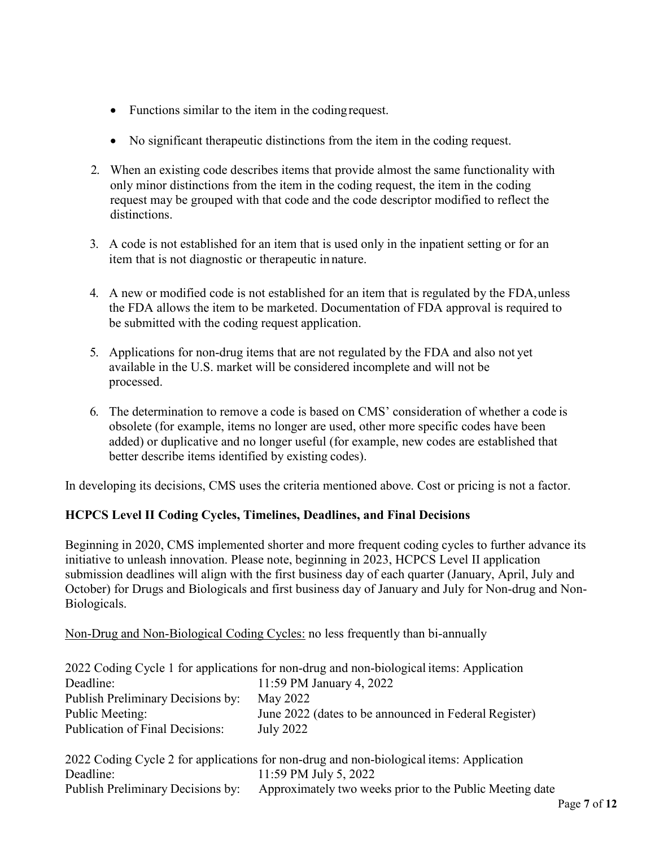- Functions similar to the item in the coding request.
- No significant therapeutic distinctions from the item in the coding request.
- 2. When an existing code describes items that provide almost the same functionality with only minor distinctions from the item in the coding request, the item in the coding request may be grouped with that code and the code descriptor modified to reflect the distinctions.
- 3. A code is not established for an item that is used only in the inpatient setting or for an item that is not diagnostic or therapeutic in nature.
- 4. A new or modified code is not established for an item that is regulated by the FDA,unless the FDA allows the item to be marketed. Documentation of FDA approval is required to be submitted with the coding request application.
- 5. Applications for non-drug items that are not regulated by the FDA and also not yet available in the U.S. market will be considered incomplete and will not be processed.
- 6. The determination to remove a code is based on CMS' consideration of whether a code is obsolete (for example, items no longer are used, other more specific codes have been added) or duplicative and no longer useful (for example, new codes are established that better describe items identified by existing codes).

In developing its decisions, CMS uses the criteria mentioned above. Cost or pricing is not a factor.

## **HCPCS Level II Coding Cycles, Timelines, Deadlines, and Final Decisions**

Beginning in 2020, CMS implemented shorter and more frequent coding cycles to further advance its initiative to unleash innovation. Please note, beginning in 2023, HCPCS Level II application submission deadlines will align with the first business day of each quarter (January, April, July and October) for Drugs and Biologicals and first business day of January and July for Non-drug and Non-Biologicals.

Non-Drug and Non-Biological Coding Cycles: no less frequently than bi-annually

| 2022 Coding Cycle 1 for applications for non-drug and non-biological items: Application |                                                          |  |
|-----------------------------------------------------------------------------------------|----------------------------------------------------------|--|
| Deadline:                                                                               | 11:59 PM January 4, 2022                                 |  |
| Publish Preliminary Decisions by:                                                       | May 2022                                                 |  |
| Public Meeting:                                                                         | June 2022 (dates to be announced in Federal Register)    |  |
| <b>Publication of Final Decisions:</b>                                                  | <b>July 2022</b>                                         |  |
| 2022 Coding Cycle 2 for applications for non-drug and non-biological items: Application |                                                          |  |
| Deadline:                                                                               | 11:59 PM July 5, 2022                                    |  |
| Publish Preliminary Decisions by:                                                       | Approximately two weeks prior to the Public Meeting date |  |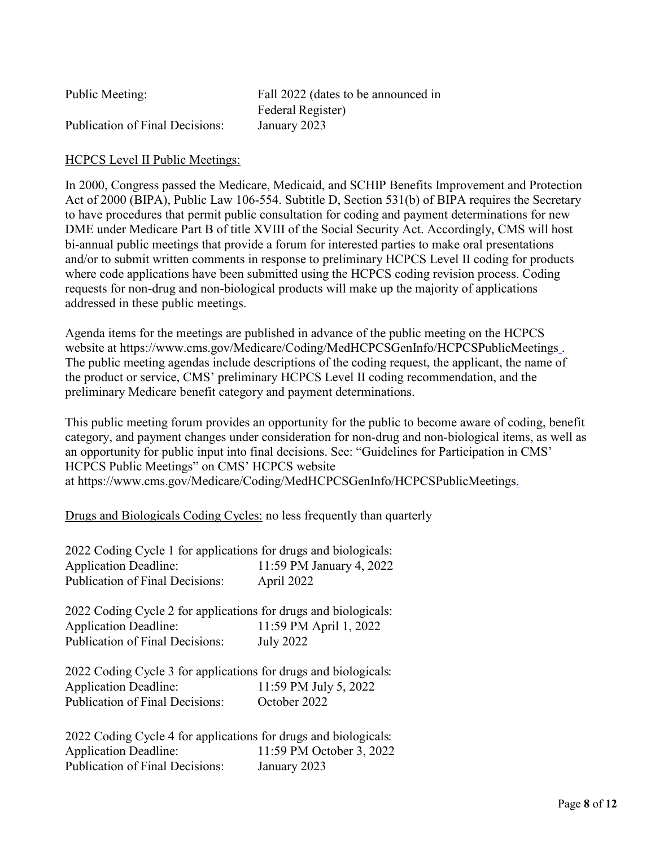| Public Meeting:                        | Fall 2022 (dates to be announced in |
|----------------------------------------|-------------------------------------|
|                                        | Federal Register)                   |
| <b>Publication of Final Decisions:</b> | January 2023                        |

#### HCPCS Level II Public Meetings:

In 2000, Congress passed the Medicare, Medicaid, and SCHIP Benefits Improvement and Protection Act of 2000 (BIPA), Public Law 106-554. Subtitle D, Section 531(b) of BIPA requires the Secretary to have procedures that permit public consultation for coding and payment determinations for new DME under Medicare Part B of title XVIII of the Social Security Act. Accordingly, CMS will host bi-annual public meetings that provide a forum for interested parties to make oral presentations and/or to submit written comments in response to preliminary HCPCS Level II coding for products where code applications have been submitted using the HCPCS coding revision process. Coding requests for non-drug and non-biological products will make up the majority of applications addressed in these public meetings.

Agenda items for the meetings are published in advance of the public meeting on the HCPCS website at https://www.cms.gov/Medicare/Coding/MedHCPCSGenInfo/HCPCSPublicMeetings [.](https://www.cms.gov/Medicare/Coding/MedHCPCSGenInfo/index) The public meeting agendas include descriptions of the coding request, the applicant, the name of the product or service, CMS' preliminary HCPCS Level II coding recommendation, and the preliminary Medicare benefit category and payment determinations.

This public meeting forum provides an opportunity for the public to become aware of coding, benefit category, and payment changes under consideration for non-drug and non-biological items, as well as an opportunity for public input into final decisions. See: "Guidelines for Participation in CMS' HCPCS Public Meetings" on CMS' HCPCS website at https://www.cms.gov/Medicare/Coding/MedHCPCSGenInfo/HCPCSPublicMeetings.

Drugs and Biologicals Coding Cycles: no less frequently than quarterly

| 2022 Coding Cycle 1 for applications for drugs and biologicals:<br><b>Application Deadline:</b><br><b>Publication of Final Decisions:</b> | 11:59 PM January 4, 2022<br>April 2022 |
|-------------------------------------------------------------------------------------------------------------------------------------------|----------------------------------------|
| 2022 Coding Cycle 2 for applications for drugs and biologicals:                                                                           |                                        |
| <b>Application Deadline:</b>                                                                                                              | 11:59 PM April 1, 2022                 |
| <b>Publication of Final Decisions:</b>                                                                                                    | <b>July 2022</b>                       |
| 2022 Coding Cycle 3 for applications for drugs and biologicals:                                                                           |                                        |
| <b>Application Deadline:</b>                                                                                                              | 11:59 PM July 5, 2022                  |
| <b>Publication of Final Decisions:</b>                                                                                                    | October 2022                           |
| 2022 Coding Cycle 4 for applications for drugs and biologicals:                                                                           |                                        |

Application Deadline: 11:59 PM October 3, 2022 Publication of Final Decisions: January 2023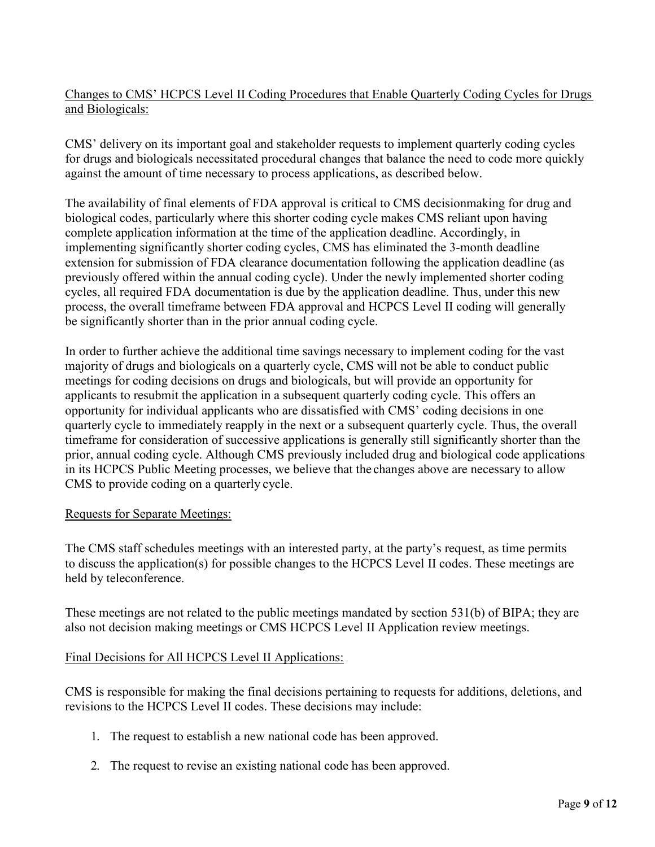#### Changes to CMS' HCPCS Level II Coding Procedures that Enable Quarterly Coding Cycles for Drugs and Biologicals:

CMS' delivery on its important goal and stakeholder requests to implement quarterly coding cycles for drugs and biologicals necessitated procedural changes that balance the need to code more quickly against the amount of time necessary to process applications, as described below.

The availability of final elements of FDA approval is critical to CMS decisionmaking for drug and biological codes, particularly where this shorter coding cycle makes CMS reliant upon having complete application information at the time of the application deadline. Accordingly, in implementing significantly shorter coding cycles, CMS has eliminated the 3-month deadline extension for submission of FDA clearance documentation following the application deadline (as previously offered within the annual coding cycle). Under the newly implemented shorter coding cycles, all required FDA documentation is due by the application deadline. Thus, under this new process, the overall timeframe between FDA approval and HCPCS Level II coding will generally be significantly shorter than in the prior annual coding cycle.

In order to further achieve the additional time savings necessary to implement coding for the vast majority of drugs and biologicals on a quarterly cycle, CMS will not be able to conduct public meetings for coding decisions on drugs and biologicals, but will provide an opportunity for applicants to resubmit the application in a subsequent quarterly coding cycle. This offers an opportunity for individual applicants who are dissatisfied with CMS' coding decisions in one quarterly cycle to immediately reapply in the next or a subsequent quarterly cycle. Thus, the overall timeframe for consideration of successive applications is generally still significantly shorter than the prior, annual coding cycle. Although CMS previously included drug and biological code applications in its HCPCS Public Meeting processes, we believe that the changes above are necessary to allow CMS to provide coding on a quarterly cycle.

#### Requests for Separate Meetings:

The CMS staff schedules meetings with an interested party, at the party's request, as time permits to discuss the application(s) for possible changes to the HCPCS Level II codes. These meetings are held by teleconference.

These meetings are not related to the public meetings mandated by section 531(b) of BIPA; they are also not decision making meetings or CMS HCPCS Level II Application review meetings.

#### Final Decisions for All HCPCS Level II Applications:

CMS is responsible for making the final decisions pertaining to requests for additions, deletions, and revisions to the HCPCS Level II codes. These decisions may include:

- 1. The request to establish a new national code has been approved.
- 2. The request to revise an existing national code has been approved.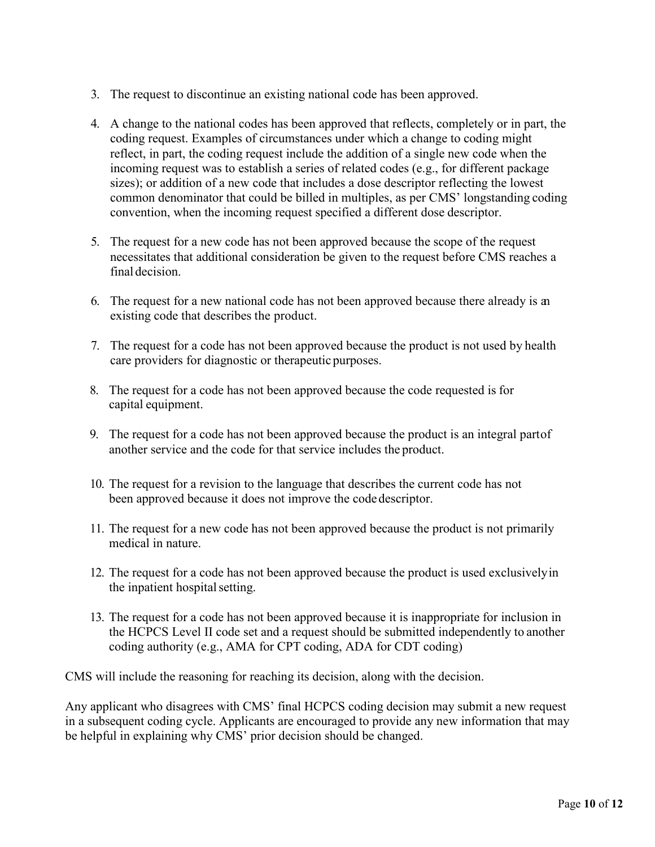- 3. The request to discontinue an existing national code has been approved.
- 4. A change to the national codes has been approved that reflects, completely or in part, the coding request. Examples of circumstances under which a change to coding might reflect, in part, the coding request include the addition of a single new code when the incoming request was to establish a series of related codes (e.g., for different package sizes); or addition of a new code that includes a dose descriptor reflecting the lowest common denominator that could be billed in multiples, as per CMS' longstanding coding convention, when the incoming request specified a different dose descriptor.
- 5. The request for a new code has not been approved because the scope of the request necessitates that additional consideration be given to the request before CMS reaches a finaldecision.
- 6. The request for a new national code has not been approved because there already is an existing code that describes the product.
- 7. The request for a code has not been approved because the product is not used by health care providers for diagnostic or therapeutic purposes.
- 8. The request for a code has not been approved because the code requested is for capital equipment.
- 9. The request for a code has not been approved because the product is an integral partof another service and the code for that service includes the product.
- 10. The request for a revision to the language that describes the current code has not been approved because it does not improve the code descriptor.
- 11. The request for a new code has not been approved because the product is not primarily medical in nature.
- 12. The request for a code has not been approved because the product is used exclusivelyin the inpatient hospital setting.
- 13. The request for a code has not been approved because it is inappropriate for inclusion in the HCPCS Level II code set and a request should be submitted independently to another coding authority (e.g., AMA for CPT coding, ADA for CDT coding)

CMS will include the reasoning for reaching its decision, along with the decision.

Any applicant who disagrees with CMS' final HCPCS coding decision may submit a new request in a subsequent coding cycle. Applicants are encouraged to provide any new information that may be helpful in explaining why CMS' prior decision should be changed.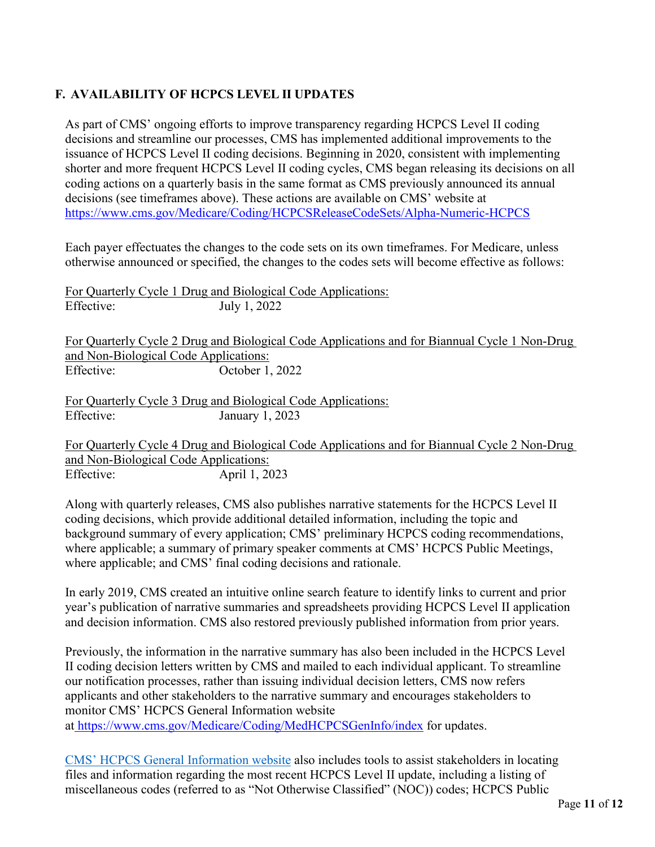# **F. AVAILABILITY OF HCPCS LEVEL II UPDATES**

As part of CMS' ongoing efforts to improve transparency regarding HCPCS Level II coding decisions and streamline our processes, CMS has implemented additional improvements to the issuance of HCPCS Level II coding decisions. Beginning in 2020, consistent with implementing shorter and more frequent HCPCS Level II coding cycles, CMS began releasing its decisions on all coding actions on a quarterly basis in the same format as CMS previously announced its annual decisions (see timeframes above). These actions are available on CMS' website at <https://www.cms.gov/Medicare/Coding/HCPCSReleaseCodeSets/Alpha-Numeric-HCPCS>

Each payer effectuates the changes to the code sets on its own timeframes. For Medicare, unless otherwise announced or specified, the changes to the codes sets will become effective as follows:

For Quarterly Cycle 1 Drug and Biological Code Applications: Effective: July 1, 2022

For Quarterly Cycle 2 Drug and Biological Code Applications and for Biannual Cycle 1 Non-Drug and Non-Biological Code Applications: Effective: October 1, 2022

For Quarterly Cycle 3 Drug and Biological Code Applications: Effective: January 1, 2023

For Quarterly Cycle 4 Drug and Biological Code Applications and for Biannual Cycle 2 Non-Drug and Non-Biological Code Applications: Effective: April 1, 2023

Along with quarterly releases, CMS also publishes narrative statements for the HCPCS Level II coding decisions, which provide additional detailed information, including the topic and background summary of every application; CMS' preliminary HCPCS coding recommendations, where applicable; a summary of primary speaker comments at CMS' HCPCS Public Meetings, where applicable; and CMS' final coding decisions and rationale.

In early 2019, CMS created an intuitive online search feature to identify links to current and prior year's publication of narrative summaries and spreadsheets providing HCPCS Level II application and decision information. CMS also restored previously published information from prior years.

Previously, the information in the narrative summary has also been included in the HCPCS Level II coding decision letters written by CMS and mailed to each individual applicant. To streamline our notification processes, rather than issuing individual decision letters, CMS now refers applicants and other stakeholders to the narrative summary and encourages stakeholders to monitor CMS' HCPCS General Information website

at <https://www.cms.gov/Medicare/Coding/MedHCPCSGenInfo/index> for updates.

[CMS' HCPCS General Information website](https://www.cms.gov/Medicare/Coding/MedHCPCSGenInfo) also includes tools to assist stakeholders in locating files and information regarding the most recent HCPCS Level II update, including a listing of miscellaneous codes (referred to as "Not Otherwise Classified" (NOC)) codes; HCPCS Public